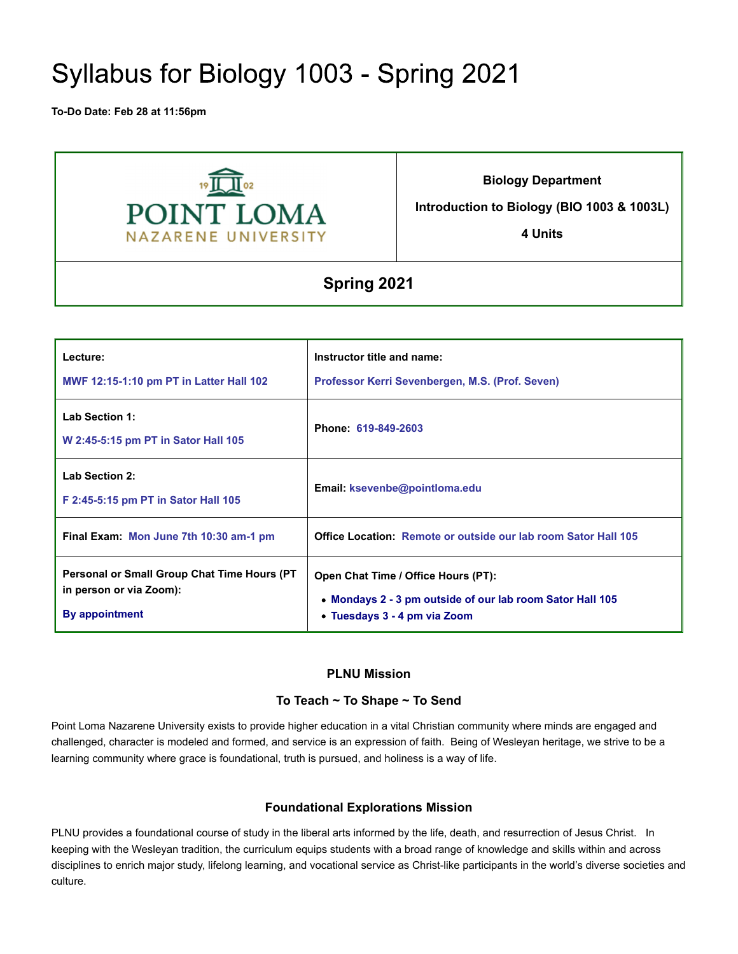# Syllabus for Biology 1003 - Spring 2021

**To-Do Date: Feb 28 at 11:56pm**



**Biology Department**

**Introduction to Biology (BIO 1003 & 1003L)**

**4 Units**

# **Spring 2021**

| Lecture:<br><b>MWF 12:15-1:10 pm PT in Latter Hall 102</b>                                      | Instructor title and name:<br>Professor Kerri Sevenbergen, M.S. (Prof. Seven)                                                    |
|-------------------------------------------------------------------------------------------------|----------------------------------------------------------------------------------------------------------------------------------|
| <b>Lab Section 1:</b><br>W 2:45-5:15 pm PT in Sator Hall 105                                    | Phone: 619-849-2603                                                                                                              |
| <b>Lab Section 2:</b><br>F 2:45-5:15 pm PT in Sator Hall 105                                    | Email: ksevenbe@pointloma.edu                                                                                                    |
| Final Exam: Mon June 7th 10:30 am-1 pm                                                          | <b>Office Location: Remote or outside our lab room Sator Hall 105</b>                                                            |
| <b>Personal or Small Group Chat Time Hours (PT</b><br>in person or via Zoom):<br>By appointment | Open Chat Time / Office Hours (PT):<br>• Mondays 2 - 3 pm outside of our lab room Sator Hall 105<br>• Tuesdays 3 - 4 pm via Zoom |

# **PLNU Mission**

# **To Teach ~ To Shape ~ To Send**

Point Loma Nazarene University exists to provide higher education in a vital Christian community where minds are engaged and challenged, character is modeled and formed, and service is an expression of faith. Being of Wesleyan heritage, we strive to be a learning community where grace is foundational, truth is pursued, and holiness is a way of life.

# **Foundational Explorations Mission**

PLNU provides a foundational course of study in the liberal arts informed by the life, death, and resurrection of Jesus Christ. In keeping with the Wesleyan tradition, the curriculum equips students with a broad range of knowledge and skills within and across disciplines to enrich major study, lifelong learning, and vocational service as Christ-like participants in the world's diverse societies and culture.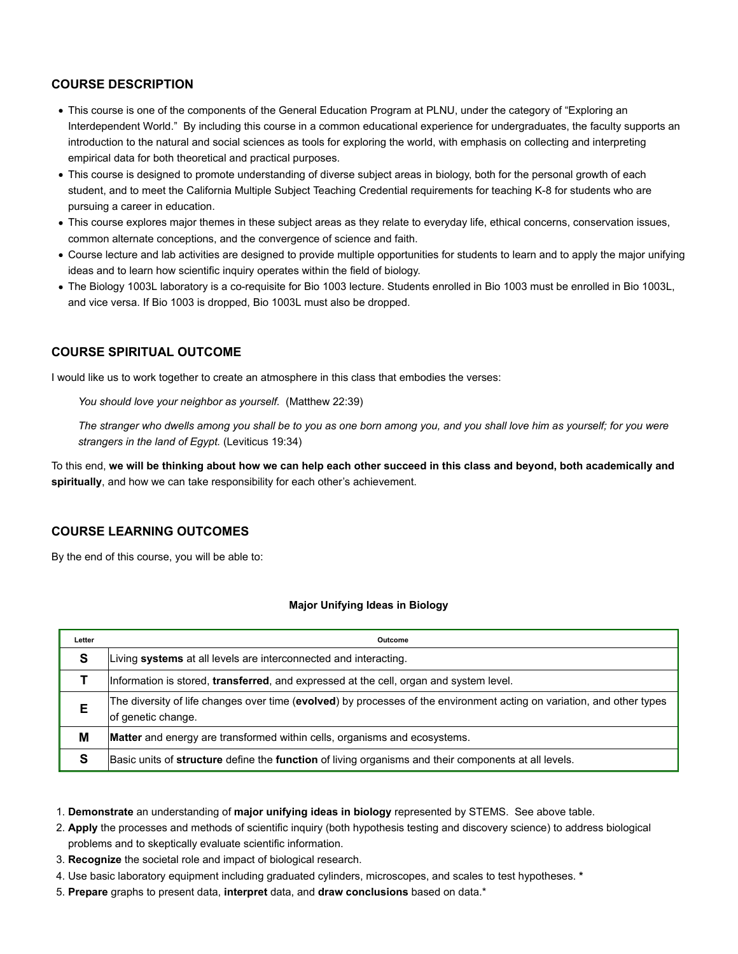# **COURSE DESCRIPTION**

- This course is one of the components of the General Education Program at PLNU, under the category of "Exploring an Interdependent World." By including this course in a common educational experience for undergraduates, the faculty supports an introduction to the natural and social sciences as tools for exploring the world, with emphasis on collecting and interpreting empirical data for both theoretical and practical purposes.
- This course is designed to promote understanding of diverse subject areas in biology, both for the personal growth of each student, and to meet the California Multiple Subject Teaching Credential requirements for teaching K-8 for students who are pursuing a career in education.
- This course explores major themes in these subject areas as they relate to everyday life, ethical concerns, conservation issues, common alternate conceptions, and the convergence of science and faith.
- Course lecture and lab activities are designed to provide multiple opportunities for students to learn and to apply the major unifying ideas and to learn how scientific inquiry operates within the field of biology.
- The Biology 1003L laboratory is a co-requisite for Bio 1003 lecture. Students enrolled in Bio 1003 must be enrolled in Bio 1003L, and vice versa. If Bio 1003 is dropped, Bio 1003L must also be dropped.

# **COURSE SPIRITUAL OUTCOME**

I would like us to work together to create an atmosphere in this class that embodies the verses:

*You should love your neighbor as yourself.* (Matthew 22:39)

*The stranger who dwells among you shall be to you as one born among you, and you shall love him as yourself; for you were strangers in the land of Egypt.* (Leviticus 19:34)

To this end, **we will be thinking about how we can help each other succeed in this class and beyond, both academically and spiritually**, and how we can take responsibility for each other's achievement.

## **COURSE LEARNING OUTCOMES**

By the end of this course, you will be able to:

#### **Major Unifying Ideas in Biology**

| Letter | Outcome                                                                                                                                      |  |  |  |  |  |
|--------|----------------------------------------------------------------------------------------------------------------------------------------------|--|--|--|--|--|
| S      | Living systems at all levels are interconnected and interacting.                                                                             |  |  |  |  |  |
|        | Information is stored, transferred, and expressed at the cell, organ and system level.                                                       |  |  |  |  |  |
| Е      | The diversity of life changes over time (evolved) by processes of the environment acting on variation, and other types<br>of genetic change. |  |  |  |  |  |
| M      | <b>Matter</b> and energy are transformed within cells, organisms and ecosystems.                                                             |  |  |  |  |  |
| S      | Basic units of structure define the function of living organisms and their components at all levels.                                         |  |  |  |  |  |

1. **Demonstrate** an understanding of **major unifying ideas in biology** represented by STEMS. See above table.

2. **Apply** the processes and methods of scientific inquiry (both hypothesis testing and discovery science) to address biological problems and to skeptically evaluate scientific information.

- 3. **Recognize** the societal role and impact of biological research.
- 4. Use basic laboratory equipment including graduated cylinders, microscopes, and scales to test hypotheses. **\***
- 5. **Prepare** graphs to present data, **interpret** data, and **draw conclusions** based on data.\*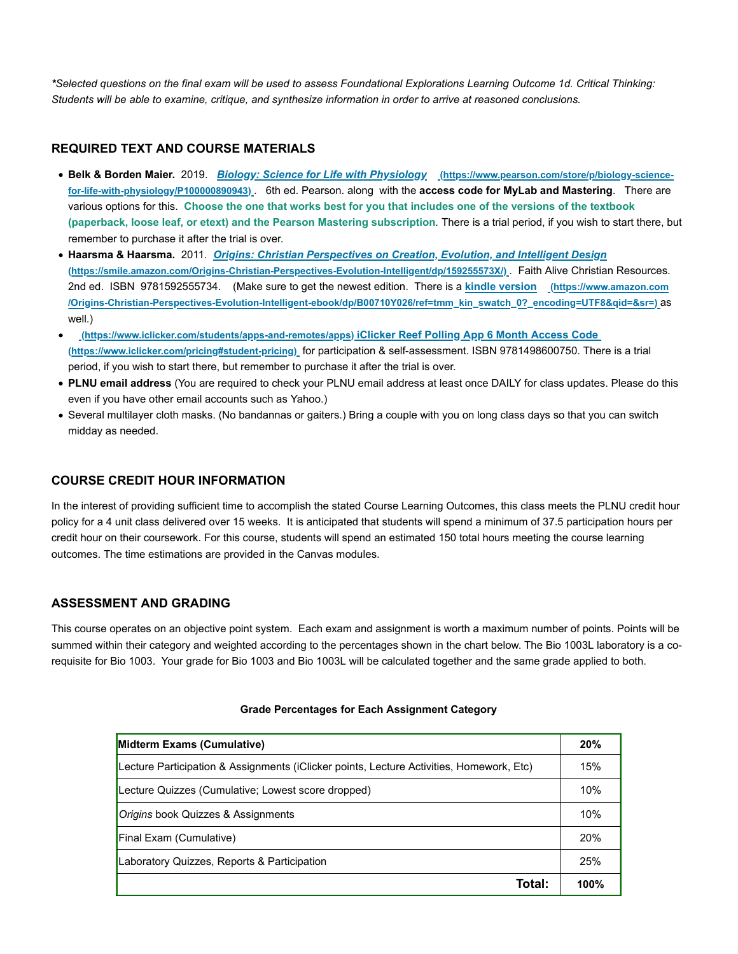*\*Selected questions on the final exam will be used to assess Foundational Explorations Learning Outcome 1d. Critical Thinking: Students will be able to examine, critique, and synthesize information in order to arrive at reasoned conclusions.*

# **REQUIRED TEXT AND COURSE MATERIALS**

- **Belk & Borden Maier.** 2019. *Biology: Science for Life with Physiology* **(https://www.pearson.com/store/p/biology-sciencefor-life-with-physiology/P100000890943)** . 6th ed. Pearson. along with the **access code for MyLab and Mastering**. There are various options for this. **Choose the one that works best for you that includes one of the versions of the textbook (paperback, loose leaf, or etext) and the Pearson Mastering subscription***.* There is a trial period, if you wish to start there, but remember to purchase it after the trial is over.
- **Haarsma & Haarsma.** 2011. *Origins: Christian Perspectives on Creation, Evolution, and Intelligent Design* **(https://smile.amazon.com/Origins-Christian-Perspectives-Evolution-Intelligent/dp/159255573X/)** . Faith Alive Christian Resources. 2nd ed. ISBN 9781592555734. (Make sure to get the newest edition. There is a **kindle version (https://www.amazon.com /Origins-Christian-Perspectives-Evolution-Intelligent-ebook/dp/B00710Y026/ref=tmm\_kin\_swatch\_0?\_encoding=UTF8&qid=&sr=)** as well.)
- **(https://www.iclicker.com/students/apps-and-remotes/apps) iClicker Reef Polling App 6 Month Access Code (https://www.iclicker.com/pricing#student-pricing)** for participation & self-assessment. ISBN 9781498600750. There is a trial period, if you wish to start there, but remember to purchase it after the trial is over.
- **PLNU email address** (You are required to check your PLNU email address at least once DAILY for class updates. Please do this even if you have other email accounts such as Yahoo.)
- Several multilayer cloth masks. (No bandannas or gaiters.) Bring a couple with you on long class days so that you can switch midday as needed.

# **COURSE CREDIT HOUR INFORMATION**

In the interest of providing sufficient time to accomplish the stated Course Learning Outcomes, this class meets the PLNU credit hour policy for a 4 unit class delivered over 15 weeks. It is anticipated that students will spend a minimum of 37.5 participation hours per credit hour on their coursework. For this course, students will spend an estimated 150 total hours meeting the course learning outcomes. The time estimations are provided in the Canvas modules.

# **ASSESSMENT AND GRADING**

This course operates on an objective point system. Each exam and assignment is worth a maximum number of points. Points will be summed within their category and weighted according to the percentages shown in the chart below. The Bio 1003L laboratory is a corequisite for Bio 1003. Your grade for Bio 1003 and Bio 1003L will be calculated together and the same grade applied to both.

| Midterm Exams (Cumulative)                                                               | 20%  |  |  |  |  |
|------------------------------------------------------------------------------------------|------|--|--|--|--|
| Lecture Participation & Assignments (iClicker points, Lecture Activities, Homework, Etc) |      |  |  |  |  |
| Lecture Quizzes (Cumulative; Lowest score dropped)                                       | 10%  |  |  |  |  |
| Origins book Quizzes & Assignments                                                       |      |  |  |  |  |
| Final Exam (Cumulative)                                                                  | 20%  |  |  |  |  |
| Laboratory Quizzes, Reports & Participation                                              | 25%  |  |  |  |  |
| Total:                                                                                   | 100% |  |  |  |  |

#### **Grade Percentages for Each Assignment Category**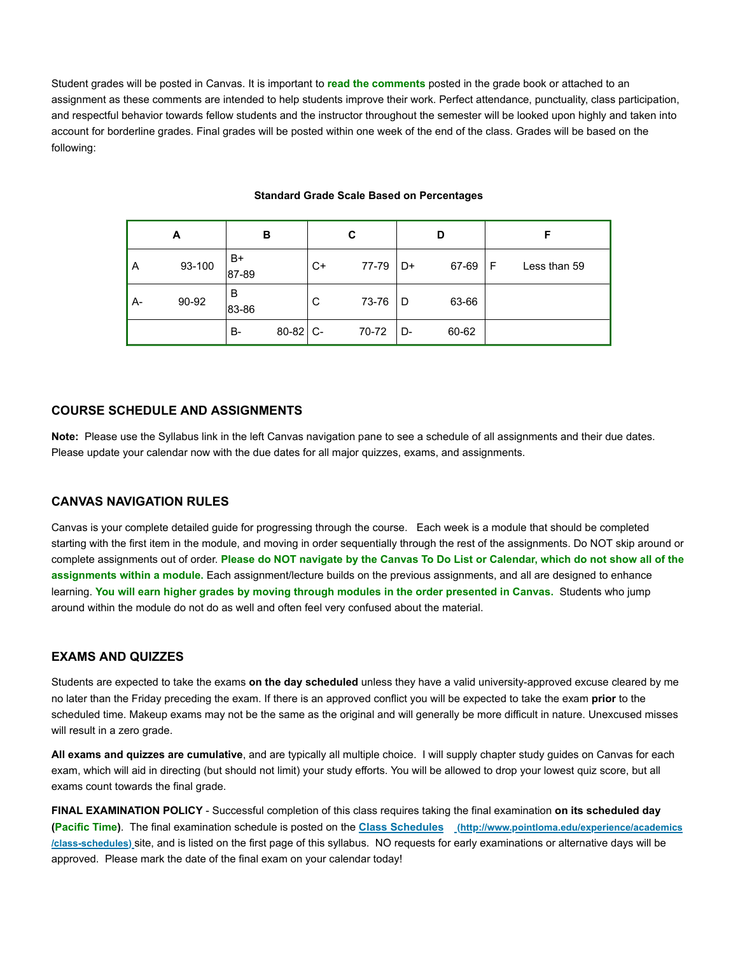Student grades will be posted in Canvas. It is important to **read the comments** posted in the grade book or attached to an assignment as these comments are intended to help students improve their work. Perfect attendance, punctuality, class participation, and respectful behavior towards fellow students and the instructor throughout the semester will be looked upon highly and taken into account for borderline grades. Final grades will be posted within one week of the end of the class. Grades will be based on the following:

| A  |        |             | в     | С    |       | D  |       |   |              |
|----|--------|-------------|-------|------|-------|----|-------|---|--------------|
| A  | 93-100 | B+<br>87-89 |       | $C+$ | 77-79 | D+ | 67-69 | F | Less than 59 |
| А- | 90-92  | В<br>83-86  |       | C    | 73-76 | D  | 63-66 |   |              |
|    |        | B-          | 80-82 | $C-$ | 70-72 | D- | 60-62 |   |              |

#### **Standard Grade Scale Based on Percentages**

## **COURSE SCHEDULE AND ASSIGNMENTS**

**Note:** Please use the Syllabus link in the left Canvas navigation pane to see a schedule of all assignments and their due dates. Please update your calendar now with the due dates for all major quizzes, exams, and assignments.

#### **CANVAS NAVIGATION RULES**

Canvas is your complete detailed guide for progressing through the course. Each week is a module that should be completed starting with the first item in the module, and moving in order sequentially through the rest of the assignments. Do NOT skip around or complete assignments out of order. **Please do NOT navigate by the Canvas To Do List or Calendar, which do not show all of the assignments within a module.** Each assignment/lecture builds on the previous assignments, and all are designed to enhance learning. **You will earn higher grades by moving through modules in the order presented in Canvas.** Students who jump around within the module do not do as well and often feel very confused about the material.

# **EXAMS AND QUIZZES**

Students are expected to take the exams **on the day scheduled** unless they have a valid university-approved excuse cleared by me no later than the Friday preceding the exam. If there is an approved conflict you will be expected to take the exam **prior** to the scheduled time. Makeup exams may not be the same as the original and will generally be more difficult in nature. Unexcused misses will result in a zero grade.

**All exams and quizzes are cumulative**, and are typically all multiple choice. I will supply chapter study guides on Canvas for each exam, which will aid in directing (but should not limit) your study efforts. You will be allowed to drop your lowest quiz score, but all exams count towards the final grade.

**FINAL EXAMINATION POLICY** - Successful completion of this class requires taking the final examination **on its scheduled day (Pacific Time)**. The final examination schedule is posted on the **Class Schedules (http://www.pointloma.edu/experience/academics /class-schedules)** site, and is listed on the first page of this syllabus. NO requests for early examinations or alternative days will be approved. Please mark the date of the final exam on your calendar today!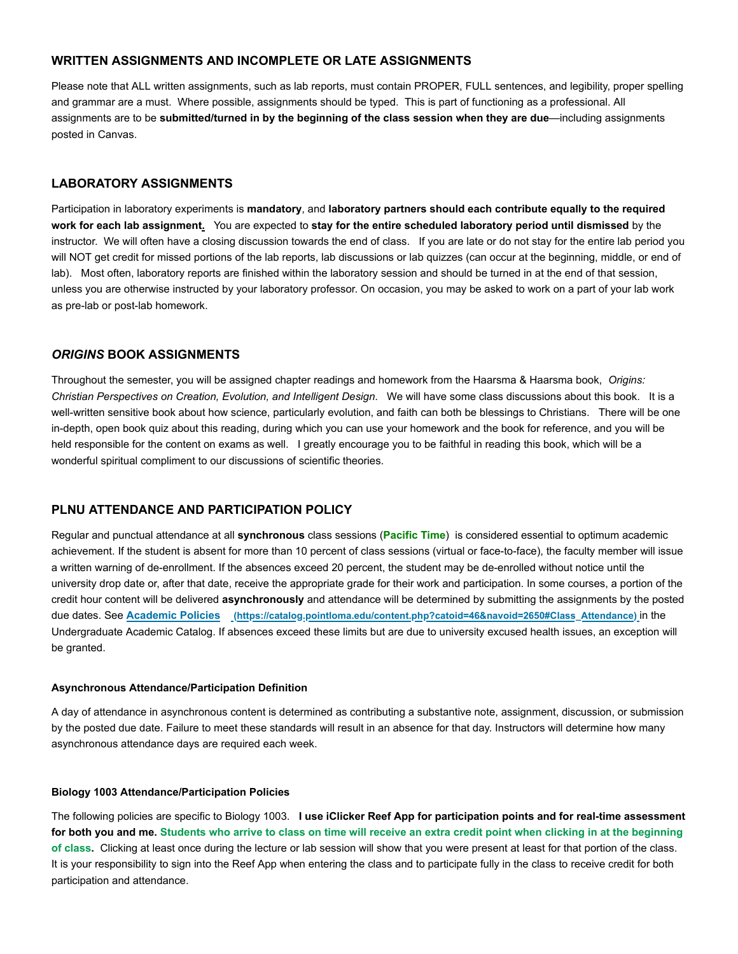# **WRITTEN ASSIGNMENTS AND INCOMPLETE OR LATE ASSIGNMENTS**

Please note that ALL written assignments, such as lab reports, must contain PROPER, FULL sentences, and legibility, proper spelling and grammar are a must. Where possible, assignments should be typed. This is part of functioning as a professional. All assignments are to be **submitted/turned in by the beginning of the class session when they are due**—including assignments posted in Canvas.

# **LABORATORY ASSIGNMENTS**

Participation in laboratory experiments is **mandatory**, and **laboratory partners should each contribute equally to the required work for each lab assignment.** You are expected to **stay for the entire scheduled laboratory period until dismissed** by the instructor. We will often have a closing discussion towards the end of class. If you are late or do not stay for the entire lab period you will NOT get credit for missed portions of the lab reports, lab discussions or lab quizzes (can occur at the beginning, middle, or end of lab). Most often, laboratory reports are finished within the laboratory session and should be turned in at the end of that session, unless you are otherwise instructed by your laboratory professor. On occasion, you may be asked to work on a part of your lab work as pre-lab or post-lab homework.

# *ORIGINS* **BOOK ASSIGNMENTS**

Throughout the semester, you will be assigned chapter readings and homework from the Haarsma & Haarsma book, *Origins: Christian Perspectives on Creation, Evolution, and Intelligent Design*. We will have some class discussions about this book. It is a well-written sensitive book about how science, particularly evolution, and faith can both be blessings to Christians. There will be one in-depth, open book quiz about this reading, during which you can use your homework and the book for reference, and you will be held responsible for the content on exams as well. I greatly encourage you to be faithful in reading this book, which will be a wonderful spiritual compliment to our discussions of scientific theories.

# **PLNU ATTENDANCE AND PARTICIPATION POLICY**

Regular and punctual attendance at all **synchronous** class sessions (**Pacific Time**) is considered essential to optimum academic achievement. If the student is absent for more than 10 percent of class sessions (virtual or face-to-face), the faculty member will issue a written warning of de-enrollment. If the absences exceed 20 percent, the student may be de-enrolled without notice until the university drop date or, after that date, receive the appropriate grade for their work and participation. In some courses, a portion of the credit hour content will be delivered **asynchronously** and attendance will be determined by submitting the assignments by the posted due dates. See **Academic Policies (https://catalog.pointloma.edu/content.php?catoid=46&navoid=2650#Class\_Attendance)** in the Undergraduate Academic Catalog. If absences exceed these limits but are due to university excused health issues, an exception will be granted.

#### **Asynchronous Attendance/Participation Definition**

A day of attendance in asynchronous content is determined as contributing a substantive note, assignment, discussion, or submission by the posted due date. Failure to meet these standards will result in an absence for that day. Instructors will determine how many asynchronous attendance days are required each week.

#### **Biology 1003 Attendance/Participation Policies**

The following policies are specific to Biology 1003. **I use iClicker Reef App for participation points and for real-time assessment for both you and me. Students who arrive to class on time will receive an extra credit point when clicking in at the beginning of class.** Clicking at least once during the lecture or lab session will show that you were present at least for that portion of the class. It is your responsibility to sign into the Reef App when entering the class and to participate fully in the class to receive credit for both participation and attendance.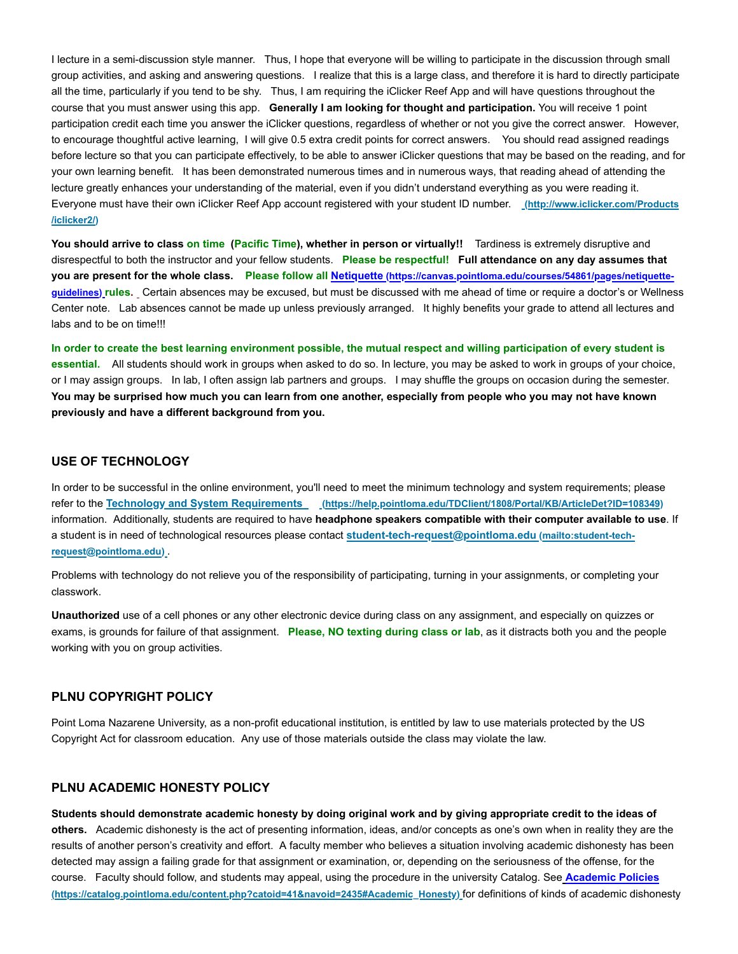I lecture in a semi-discussion style manner. Thus, I hope that everyone will be willing to participate in the discussion through small group activities, and asking and answering questions. I realize that this is a large class, and therefore it is hard to directly participate all the time, particularly if you tend to be shy. Thus, I am requiring the iClicker Reef App and will have questions throughout the course that you must answer using this app. **Generally I am looking for thought and participation.** You will receive 1 point participation credit each time you answer the iClicker questions, regardless of whether or not you give the correct answer. However, to encourage thoughtful active learning, I will give 0.5 extra credit points for correct answers. You should read assigned readings before lecture so that you can participate effectively, to be able to answer iClicker questions that may be based on the reading, and for your own learning benefit. It has been demonstrated numerous times and in numerous ways, that reading ahead of attending the lecture greatly enhances your understanding of the material, even if you didn't understand everything as you were reading it. Everyone must have their own iClicker Reef App account registered with your student ID number. **(http://www.iclicker.com/Products /iclicker2/)**

**You should arrive to class on time (Pacific Time), whether in person or virtually!!** Tardiness is extremely disruptive and disrespectful to both the instructor and your fellow students. **Please be respectful! Full attendance on any day assumes that you are present for the whole class. Please follow all Netiquette (https://canvas.pointloma.edu/courses/54861/pages/netiquetteguidelines) rules.** Certain absences may be excused, but must be discussed with me ahead of time or require a doctor's or Wellness Center note. Lab absences cannot be made up unless previously arranged. It highly benefits your grade to attend all lectures and labs and to be on time!!!

**In order to create the best learning environment possible, the mutual respect and willing participation of every student is essential.** All students should work in groups when asked to do so. In lecture, you may be asked to work in groups of your choice, or I may assign groups. In lab, I often assign lab partners and groups. I may shuffle the groups on occasion during the semester. **You may be surprised how much you can learn from one another, especially from people who you may not have known previously and have a different background from you.**

#### **USE OF TECHNOLOGY**

In order to be successful in the online environment, you'll need to meet the minimum technology and system requirements; please refer to the **Technology and System Requirements (https://help.pointloma.edu/TDClient/1808/Portal/KB/ArticleDet?ID=108349)** information. Additionally, students are required to have **headphone speakers compatible with their computer available to use**. If a student is in need of technological resources please contact **student-tech-request@pointloma.edu (mailto:student-techrequest@pointloma.edu)** .

Problems with technology do not relieve you of the responsibility of participating, turning in your assignments, or completing your classwork.

**Unauthorized** use of a cell phones or any other electronic device during class on any assignment, and especially on quizzes or exams, is grounds for failure of that assignment. **Please, NO texting during class or lab**, as it distracts both you and the people working with you on group activities.

# **PLNU COPYRIGHT POLICY**

Point Loma Nazarene University, as a non-profit educational institution, is entitled by law to use materials protected by the US Copyright Act for classroom education. Any use of those materials outside the class may violate the law.

# **PLNU ACADEMIC HONESTY POLICY**

**Students should demonstrate academic honesty by doing original work and by giving appropriate credit to the ideas of others.** Academic dishonesty is the act of presenting information, ideas, and/or concepts as one's own when in reality they are the results of another person's creativity and effort. A faculty member who believes a situation involving academic dishonesty has been detected may assign a failing grade for that assignment or examination, or, depending on the seriousness of the offense, for the course. Faculty should follow, and students may appeal, using the procedure in the university Catalog. See **Academic Policies (https://catalog.pointloma.edu/content.php?catoid=41&navoid=2435#Academic\_Honesty)** for definitions of kinds of academic dishonesty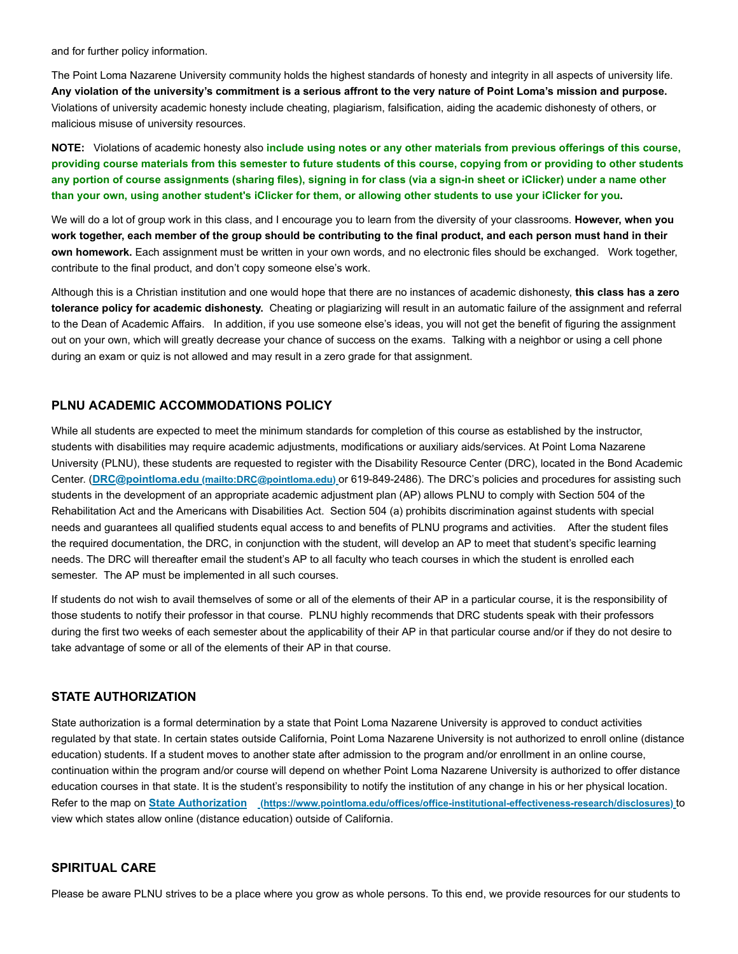and for further policy information.

The Point Loma Nazarene University community holds the highest standards of honesty and integrity in all aspects of university life. **Any violation of the university's commitment is a serious affront to the very nature of Point Loma's mission and purpose.**  Violations of university academic honesty include cheating, plagiarism, falsification, aiding the academic dishonesty of others, or malicious misuse of university resources.

**NOTE:** Violations of academic honesty also **include using notes or any other materials from previous offerings of this course, providing course materials from this semester to future students of this course, copying from or providing to other students any portion of course assignments (sharing files), signing in for class (via a sign-in sheet or iClicker) under a name other than your own, using another student's iClicker for them, or allowing other students to use your iClicker for you.**

We will do a lot of group work in this class, and I encourage you to learn from the diversity of your classrooms. **However, when you work together, each member of the group should be contributing to the final product, and each person must hand in their own homework.** Each assignment must be written in your own words, and no electronic files should be exchanged. Work together, contribute to the final product, and don't copy someone else's work.

Although this is a Christian institution and one would hope that there are no instances of academic dishonesty, **this class has a zero tolerance policy for academic dishonesty.** Cheating or plagiarizing will result in an automatic failure of the assignment and referral to the Dean of Academic Affairs. In addition, if you use someone else's ideas, you will not get the benefit of figuring the assignment out on your own, which will greatly decrease your chance of success on the exams. Talking with a neighbor or using a cell phone during an exam or quiz is not allowed and may result in a zero grade for that assignment.

# **PLNU ACADEMIC ACCOMMODATIONS POLICY**

While all students are expected to meet the minimum standards for completion of this course as established by the instructor, students with disabilities may require academic adjustments, modifications or auxiliary aids/services. At Point Loma Nazarene University (PLNU), these students are requested to register with the Disability Resource Center (DRC), located in the Bond Academic Center. (**DRC@pointloma.edu (mailto:DRC@pointloma.edu)** or 619-849-2486). The DRC's policies and procedures for assisting such students in the development of an appropriate academic adjustment plan (AP) allows PLNU to comply with Section 504 of the Rehabilitation Act and the Americans with Disabilities Act. Section 504 (a) prohibits discrimination against students with special needs and guarantees all qualified students equal access to and benefits of PLNU programs and activities. After the student files the required documentation, the DRC, in conjunction with the student, will develop an AP to meet that student's specific learning needs. The DRC will thereafter email the student's AP to all faculty who teach courses in which the student is enrolled each semester. The AP must be implemented in all such courses.

If students do not wish to avail themselves of some or all of the elements of their AP in a particular course, it is the responsibility of those students to notify their professor in that course. PLNU highly recommends that DRC students speak with their professors during the first two weeks of each semester about the applicability of their AP in that particular course and/or if they do not desire to take advantage of some or all of the elements of their AP in that course.

# **STATE AUTHORIZATION**

State authorization is a formal determination by a state that Point Loma Nazarene University is approved to conduct activities regulated by that state. In certain states outside California, Point Loma Nazarene University is not authorized to enroll online (distance education) students. If a student moves to another state after admission to the program and/or enrollment in an online course, continuation within the program and/or course will depend on whether Point Loma Nazarene University is authorized to offer distance education courses in that state. It is the student's responsibility to notify the institution of any change in his or her physical location. Refer to the map on **State Authorization (https://www.pointloma.edu/offices/office-institutional-effectiveness-research/disclosures)** to view which states allow online (distance education) outside of California.

## **SPIRITUAL CARE**

Please be aware PLNU strives to be a place where you grow as whole persons. To this end, we provide resources for our students to